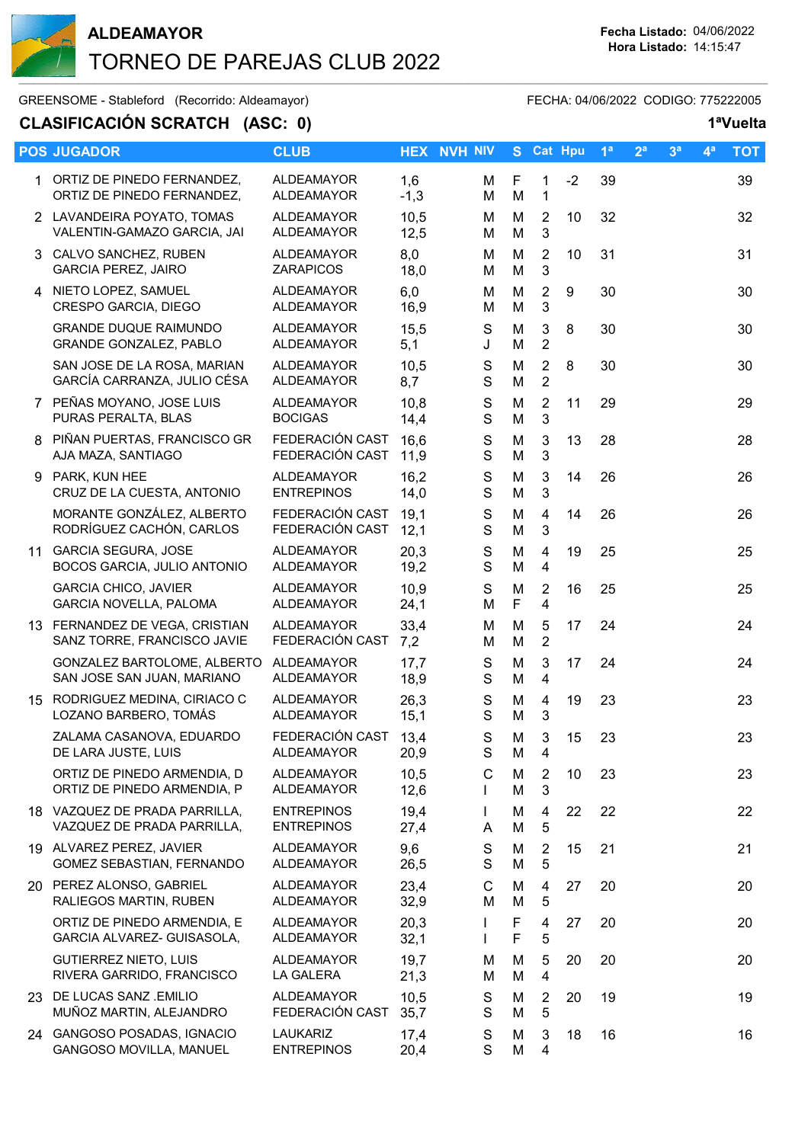

## **ALDEAMAYOR Fecha Listado:** 04/06/2022 TORNEO DE PAREJAS CLUB 2022  $\_$  . The contribution of the contribution of the contribution of the contribution of the contribution of the contribution of the contribution of the contribution of the contribution of the contribution of the contributio

GREENSOME - Stableford (Recorrido: Aldeamayor) FECHA: 04/06/2022 CODIGO: 775222005

# **CLASIFICACIÓN SCRATCH (ASC: 0) 1ªVuelta**

| <b>POS JUGADOR</b>                                            | <b>CLUB</b>                            |               | <b>HEX NVH NIV</b>           |        | S Cat Hpu                        |      | 1 <sup>a</sup> | 2 <sup>a</sup> | 3 <sup>a</sup> | 4 <sup>a</sup> | <b>TOT</b> |
|---------------------------------------------------------------|----------------------------------------|---------------|------------------------------|--------|----------------------------------|------|----------------|----------------|----------------|----------------|------------|
| 1 ORTIZ DE PINEDO FERNANDEZ,<br>ORTIZ DE PINEDO FERNANDEZ,    | <b>ALDEAMAYOR</b><br><b>ALDEAMAYOR</b> | 1,6<br>$-1,3$ | M<br>M                       | F<br>M | $\mathbf{1}$<br>$\mathbf{1}$     | $-2$ | 39             |                |                |                | 39         |
| 2 LAVANDEIRA POYATO, TOMAS<br>VALENTIN-GAMAZO GARCIA, JAI     | <b>ALDEAMAYOR</b><br><b>ALDEAMAYOR</b> | 10,5<br>12,5  | м<br>M                       | M<br>M | 2<br>3                           | 10   | 32             |                |                |                | 32         |
| 3 CALVO SANCHEZ, RUBEN<br><b>GARCIA PEREZ, JAIRO</b>          | <b>ALDEAMAYOR</b><br><b>ZARAPICOS</b>  | 8,0<br>18,0   | м<br>M                       | M<br>M | $\overline{2}$<br>3              | 10   | 31             |                |                |                | 31         |
| 4 NIETO LOPEZ, SAMUEL<br>CRESPO GARCIA, DIEGO                 | <b>ALDEAMAYOR</b><br>ALDEAMAYOR        | 6,0<br>16,9   | М<br>M                       | M<br>M | $\overline{2}$<br>3              | 9    | 30             |                |                |                | 30         |
| <b>GRANDE DUQUE RAIMUNDO</b><br>GRANDE GONZALEZ, PABLO        | <b>ALDEAMAYOR</b><br>ALDEAMAYOR        | 15,5<br>5,1   | S<br>J                       | M<br>M | $\mathbf{3}$<br>$\overline{2}$   | 8    | 30             |                |                |                | 30         |
| SAN JOSE DE LA ROSA, MARIAN<br>GARCÍA CARRANZA, JULIO CÉSA    | <b>ALDEAMAYOR</b><br><b>ALDEAMAYOR</b> | 10,5<br>8,7   | $\mathbf S$<br>S             | M<br>M | $\overline{2}$<br>$\overline{2}$ | 8    | 30             |                |                |                | 30         |
| 7 PEÑAS MOYANO, JOSE LUIS<br>PURAS PERALTA, BLAS              | <b>ALDEAMAYOR</b><br><b>BOCIGAS</b>    | 10,8<br>14,4  | S<br>S                       | M<br>M | $\overline{2}$<br>3              | 11   | 29             |                |                |                | 29         |
| 8 PIÑAN PUERTAS, FRANCISCO GR<br>AJA MAZA, SANTIAGO           | FEDERACIÓN CAST<br>FEDERACIÓN CAST     | 16,6<br>11,9  | ${\mathsf S}$<br>$\mathbf S$ | M<br>M | $\mathbf{3}$<br>3                | 13   | 28             |                |                |                | 28         |
| 9 PARK, KUN HEE<br>CRUZ DE LA CUESTA, ANTONIO                 | <b>ALDEAMAYOR</b><br><b>ENTREPINOS</b> | 16,2<br>14,0  | $\mathbf S$<br>$\mathbf S$   | M<br>M | $\sqrt{3}$<br>3                  | 14   | 26             |                |                |                | 26         |
| MORANTE GONZÁLEZ, ALBERTO<br>RODRÍGUEZ CACHÓN, CARLOS         | FEDERACIÓN CAST<br>FEDERACIÓN CAST     | 19,1<br>12,1  | ${\mathsf S}$<br>$\mathbf S$ | M<br>M | 4<br>$\mathbf{3}$                | 14   | 26             |                |                |                | 26         |
| 11 GARCIA SEGURA, JOSE<br>BOCOS GARCIA, JULIO ANTONIO         | <b>ALDEAMAYOR</b><br>ALDEAMAYOR        | 20,3<br>19,2  | S<br>${\mathsf S}$           | M<br>M | 4<br>$\overline{4}$              | 19   | 25             |                |                |                | 25         |
| <b>GARCIA CHICO, JAVIER</b><br>GARCIA NOVELLA, PALOMA         | ALDEAMAYOR<br>ALDEAMAYOR               | 10,9<br>24,1  | S<br>M                       | M<br>F | $\overline{2}$<br>4              | 16   | 25             |                |                |                | 25         |
| 13 FERNANDEZ DE VEGA, CRISTIAN<br>SANZ TORRE, FRANCISCO JAVIE | <b>ALDEAMAYOR</b><br>FEDERACIÓN CAST   | 33,4<br>7,2   | M<br>M                       | M<br>M | 5<br>$\overline{2}$              | 17   | 24             |                |                |                | 24         |
| GONZALEZ BARTOLOME, ALBERTO<br>SAN JOSE SAN JUAN, MARIANO     | ALDEAMAYOR<br>ALDEAMAYOR               | 17,7<br>18,9  | S<br>S                       | M<br>M | 3<br>$\overline{4}$              | 17   | 24             |                |                |                | 24         |
| 15 RODRIGUEZ MEDINA, CIRIACO C<br>LOZANO BARBERO, TOMÁS       | <b>ALDEAMAYOR</b><br><b>ALDEAMAYOR</b> | 26,3<br>15,1  | ${\mathsf S}$<br>$\mathbf S$ | M<br>M | 4<br>$\mathbf{3}$                | 19   | 23             |                |                |                | 23         |
| ZALAMA CASANOVA, EDUARDO<br>DE LARA JUSTE, LUIS               | FEDERACIÓN CAST<br><b>ALDEAMAYOR</b>   | 13,4<br>20,9  | S<br>S                       | M<br>M | 3<br>4                           | 15   | 23             |                |                |                | 23         |
| ORTIZ DE PINEDO ARMENDIA, D<br>ORTIZ DE PINEDO ARMENDIA, P    | <b>ALDEAMAYOR</b><br>ALDEAMAYOR        | 10,5<br>12,6  | C                            | M<br>M | $\overline{c}$<br>3              | 10   | 23             |                |                |                | 23         |
| 18 VAZQUEZ DE PRADA PARRILLA,<br>VAZQUEZ DE PRADA PARRILLA,   | <b>ENTREPINOS</b><br><b>ENTREPINOS</b> | 19,4<br>27,4  | $\mathbf{L}$<br>A            | M<br>M | 4<br>5                           | 22   | 22             |                |                |                | 22         |
| 19 ALVAREZ PEREZ, JAVIER<br>GOMEZ SEBASTIAN, FERNANDO         | <b>ALDEAMAYOR</b><br>ALDEAMAYOR        | 9,6<br>26,5   | $\mathbf S$<br>$\mathbf S$   | M<br>M | $\overline{2}$<br>5              | 15   | 21             |                |                |                | 21         |
| 20 PEREZ ALONSO, GABRIEL<br>RALIEGOS MARTIN, RUBEN            | <b>ALDEAMAYOR</b><br>ALDEAMAYOR        | 23,4<br>32,9  | C<br>M                       | M<br>M | 4<br>5                           | 27   | 20             |                |                |                | 20         |
| ORTIZ DE PINEDO ARMENDIA, E<br>GARCIA ALVAREZ- GUISASOLA,     | <b>ALDEAMAYOR</b><br>ALDEAMAYOR        | 20,3<br>32,1  |                              | F<br>F | 4<br>5                           | 27   | 20             |                |                |                | 20         |
| <b>GUTIERREZ NIETO, LUIS</b><br>RIVERA GARRIDO, FRANCISCO     | <b>ALDEAMAYOR</b><br>LA GALERA         | 19,7<br>21,3  | м<br>M                       | M<br>M | 5<br>$\overline{4}$              | 20   | 20             |                |                |                | 20         |
| 23 DE LUCAS SANZ .EMILIO<br>MUÑOZ MARTIN, ALEJANDRO           | <b>ALDEAMAYOR</b><br>FEDERACIÓN CAST   | 10,5<br>35,7  | S<br>$\mathbf S$             | M<br>M | $\overline{2}$<br>5              | 20   | 19             |                |                |                | 19         |
| 24 GANGOSO POSADAS, IGNACIO<br>GANGOSO MOVILLA, MANUEL        | LAUKARIZ<br><b>ENTREPINOS</b>          | 17,4<br>20,4  | $\mathbf S$<br>S             | M<br>M | 3<br>4                           | 18   | 16             |                |                |                | 16         |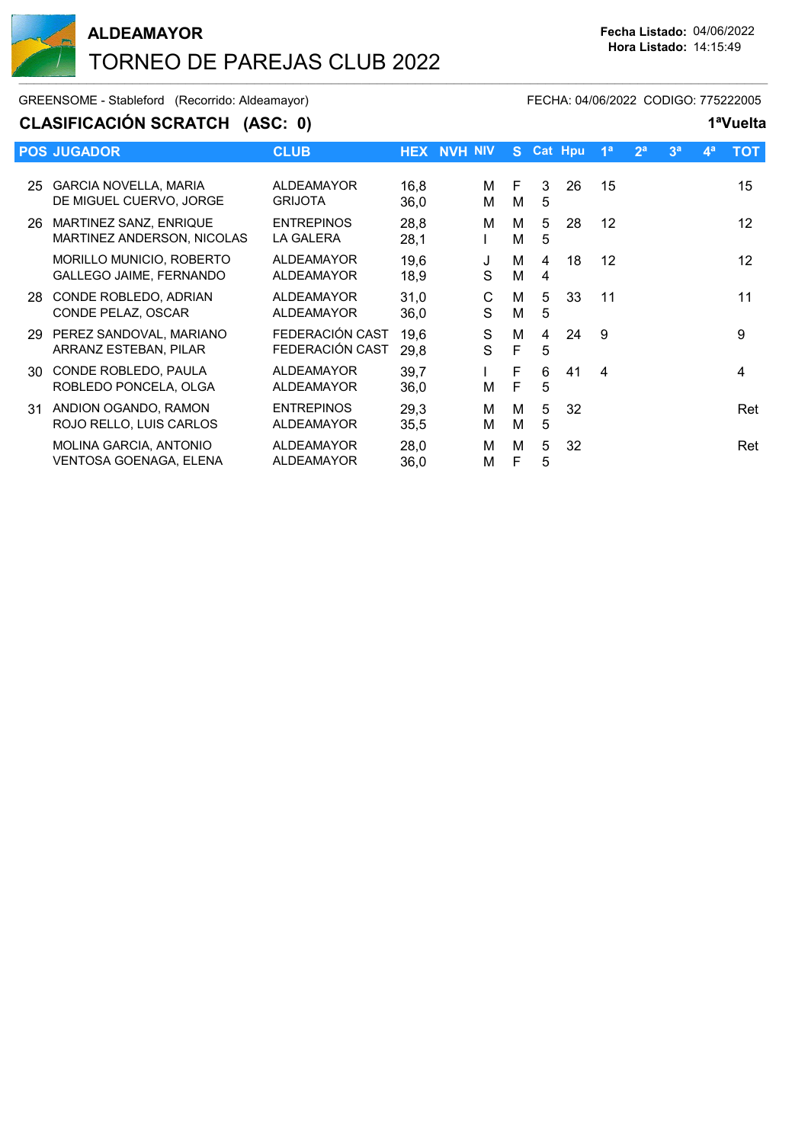

GREENSOME - Stableford (Recorrido: Aldeamayor) FECHA: 04/06/2022 CODIGO: 775222005

### **CLASIFICACIÓN SCRATCH (ASC: 0) 1ªVuelta**

|    | <b>POS JUGADOR</b>                                             | <b>CLUB</b>                            | <b>HEX</b>   | <b>NVH NIV</b> |        | S.     |        | <b>Cat Hpu</b> | 1 <sup>a</sup> | 2 <sup>a</sup> | 3 <sup>a</sup> | 4 <sup>a</sup> | <b>TOT</b>        |
|----|----------------------------------------------------------------|----------------------------------------|--------------|----------------|--------|--------|--------|----------------|----------------|----------------|----------------|----------------|-------------------|
| 25 | <b>GARCIA NOVELLA, MARIA</b><br>DE MIGUEL CUERVO, JORGE        | <b>ALDEAMAYOR</b><br><b>GRIJOTA</b>    | 16,8<br>36,0 |                | м<br>м | F<br>м | 3<br>5 | 26             | 15             |                |                |                | 15                |
| 26 | MARTINEZ SANZ, ENRIQUE<br>MARTINEZ ANDERSON, NICOLAS           | <b>ENTREPINOS</b><br><b>LA GALERA</b>  | 28,8<br>28,1 |                | м      | м<br>М | 5<br>5 | 28             | 12             |                |                |                | $12 \overline{ }$ |
|    | MORILLO MUNICIO, ROBERTO<br><b>GALLEGO JAIME, FERNANDO</b>     | <b>ALDEAMAYOR</b><br><b>ALDEAMAYOR</b> | 19,6<br>18,9 |                | J<br>S | М<br>М | 4<br>4 | 18             | 12             |                |                |                | $12 \overline{ }$ |
| 28 | CONDE ROBLEDO, ADRIAN<br>CONDE PELAZ, OSCAR                    | <b>ALDEAMAYOR</b><br><b>ALDEAMAYOR</b> | 31,0<br>36,0 |                | С<br>S | м<br>м | 5<br>5 | 33             | 11             |                |                |                | 11                |
| 29 | PEREZ SANDOVAL, MARIANO<br>ARRANZ ESTEBAN, PILAR               | FEDERACIÓN CAST<br>FEDERACIÓN CAST     | 19,6<br>29,8 |                | S<br>S | м<br>F | 4<br>5 | 24             | 9              |                |                |                | 9                 |
| 30 | CONDE ROBLEDO, PAULA<br>ROBLEDO PONCELA, OLGA                  | <b>ALDEAMAYOR</b><br><b>ALDEAMAYOR</b> | 39,7<br>36,0 |                | м      | F<br>F | 6<br>5 | 41             | 4              |                |                |                | 4                 |
| 31 | ANDION OGANDO, RAMON<br>ROJO RELLO, LUIS CARLOS                | <b>ENTREPINOS</b><br><b>ALDEAMAYOR</b> | 29,3<br>35,5 |                | м<br>м | м<br>м | 5<br>5 | 32             |                |                |                |                | Ret               |
|    | <b>MOLINA GARCIA, ANTONIO</b><br><b>VENTOSA GOENAGA, ELENA</b> | <b>ALDEAMAYOR</b><br><b>ALDEAMAYOR</b> | 28,0<br>36,0 |                | M<br>М | M<br>F | 5<br>5 | 32             |                |                |                |                | Ret               |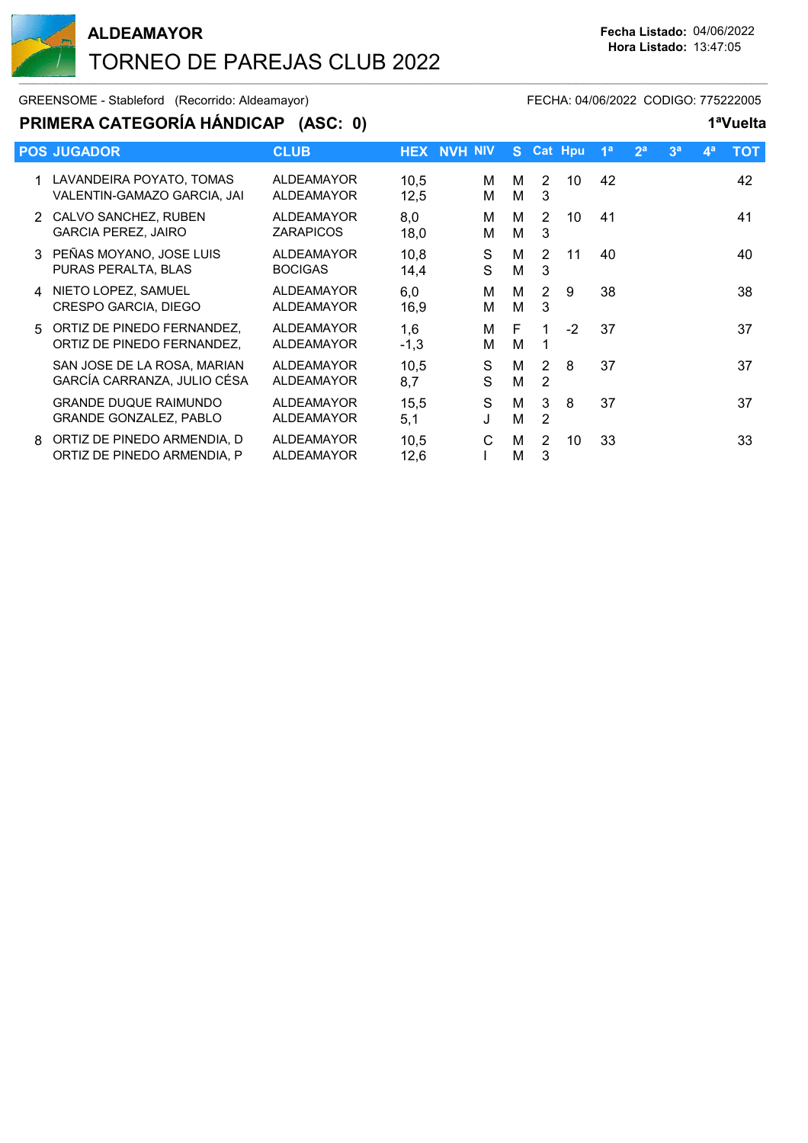

GREENSOME - Stableford (Recorrido: Aldeamayor) FECHA: 04/06/2022 CODIGO: 775222005

## **PRIMERA CATEGORÍA HÁNDICAP (ASC: 0) 1ªVuelta**

|    | <b>POS JUGADOR</b>                                            | <b>CLUB</b>                            |               | <b>HEX NVH NIV</b> | S.     |                                  | <b>Cat Hpu</b> | 1 <sup>a</sup> | 2 <sup>a</sup> | 3 <sup>a</sup> | $\mathbf{4}^{\mathsf{a}}$ | тот |
|----|---------------------------------------------------------------|----------------------------------------|---------------|--------------------|--------|----------------------------------|----------------|----------------|----------------|----------------|---------------------------|-----|
|    | LAVANDEIRA POYATO, TOMAS<br>VALENTIN-GAMAZO GARCIA, JAI       | <b>ALDEAMAYOR</b><br><b>ALDEAMAYOR</b> | 10,5<br>12,5  | м<br>м             | М<br>м | 2<br>3                           | 10             | 42             |                |                |                           | 42  |
|    | 2 CALVO SANCHEZ, RUBEN<br><b>GARCIA PEREZ, JAIRO</b>          | <b>ALDEAMAYOR</b><br><b>ZARAPICOS</b>  | 8,0<br>18,0   | м<br>М             | M<br>М | 2<br>3                           | 10             | 41             |                |                |                           | 41  |
|    | 3 PEÑAS MOYANO, JOSE LUIS<br>PURAS PERALTA, BLAS              | <b>ALDEAMAYOR</b><br><b>BOCIGAS</b>    | 10,8<br>14,4  | S<br>S             | м<br>м | 2<br>3                           | 11             | 40             |                |                |                           | 40  |
| 4  | NIETO LOPEZ, SAMUEL<br>CRESPO GARCIA, DIEGO                   | ALDEAMAYOR<br><b>ALDEAMAYOR</b>        | 6,0<br>16,9   | М<br>м             | М<br>M | $\overline{2}$<br>3              | 9              | 38             |                |                |                           | 38  |
| .5 | ORTIZ DE PINEDO FERNANDEZ,<br>ORTIZ DE PINEDO FERNANDEZ,      | <b>ALDEAMAYOR</b><br>ALDEAMAYOR        | 1,6<br>$-1,3$ | м<br>М             | F<br>М |                                  | $-2$           | 37             |                |                |                           | 37  |
|    | SAN JOSE DE LA ROSA, MARIAN<br>GARCÍA CARRANZA, JULIO CÉSA    | ALDEAMAYOR<br><b>ALDEAMAYOR</b>        | 10,5<br>8,7   | S<br>S             | М<br>M | $\overline{2}$<br>$\overline{2}$ | 8              | 37             |                |                |                           | 37  |
|    | <b>GRANDE DUQUE RAIMUNDO</b><br><b>GRANDE GONZALEZ, PABLO</b> | <b>ALDEAMAYOR</b><br><b>ALDEAMAYOR</b> | 15,5<br>5,1   | S                  | M<br>M | 3<br>2                           | 8              | 37             |                |                |                           | 37  |
| 8  | ORTIZ DE PINEDO ARMENDIA, D<br>ORTIZ DE PINEDO ARMENDIA, P    | <b>ALDEAMAYOR</b><br><b>ALDEAMAYOR</b> | 10,5<br>12,6  | С                  | М<br>М | 2<br>3                           | 10             | 33             |                |                |                           | 33  |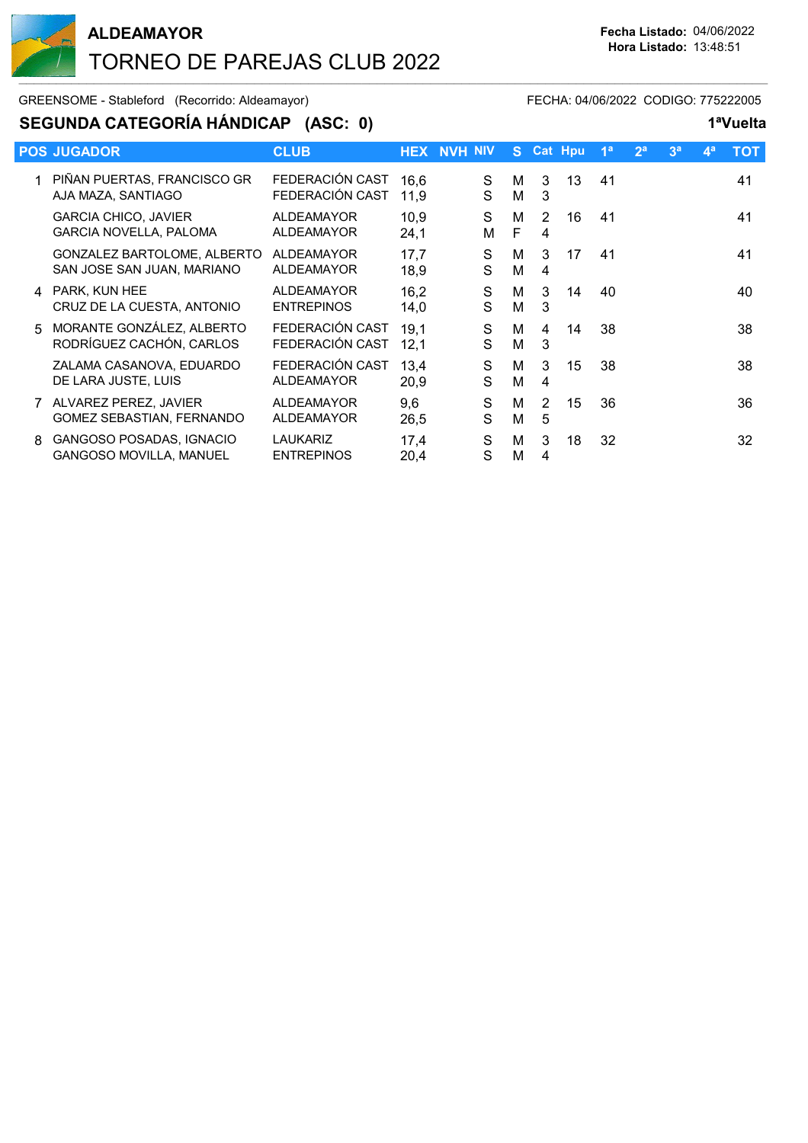

#### GREENSOME - Stableford (Recorrido: Aldeamayor) FECHA: 04/06/2022 CODIGO: 775222005

### **SEGUNDA CATEGORÍA HÁNDICAP (ASC: 0) 1ªVuelta**

|             | <b>POS JUGADOR</b>                                           | <b>CLUB</b>                            |              | <b>HEX NVH NIV</b> | S.     |                     | <b>Cat Hpu</b> | 1 <sup>a</sup> | 2 <sup>a</sup> | 3 <sup>a</sup> | $\mathbf{4}^{\mathsf{a}}$ | тот |
|-------------|--------------------------------------------------------------|----------------------------------------|--------------|--------------------|--------|---------------------|----------------|----------------|----------------|----------------|---------------------------|-----|
|             | PIÑAN PUERTAS, FRANCISCO GR<br>AJA MAZA, SANTIAGO            | FEDERACIÓN CAST<br>FEDERACIÓN CAST     | 16,6<br>11,9 | S<br>S             | м<br>М | 3<br>3              | 13             | 41             |                |                |                           | 41  |
|             | <b>GARCIA CHICO, JAVIER</b><br><b>GARCIA NOVELLA, PALOMA</b> | <b>ALDEAMAYOR</b><br><b>ALDEAMAYOR</b> | 10,9<br>24,1 | S<br>М             | M<br>F | 2<br>4              | 16             | 41             |                |                |                           | 41  |
|             | GONZALEZ BARTOLOME, ALBERTO<br>SAN JOSE SAN JUAN, MARIANO    | ALDEAMAYOR<br><b>ALDEAMAYOR</b>        | 17,7<br>18,9 | S<br>S             | м<br>M | 3<br>4              | 17             | 41             |                |                |                           | 41  |
| 4           | PARK, KUN HEE<br>CRUZ DE LA CUESTA, ANTONIO                  | ALDEAMAYOR<br><b>ENTREPINOS</b>        | 16,2<br>14,0 | S<br>S             | м<br>м | 3<br>3              | 14             | 40             |                |                |                           | 40  |
| $5^{\circ}$ | MORANTE GONZÁLEZ, ALBERTO<br>RODRÍGUEZ CACHÓN, CARLOS        | FEDERACIÓN CAST<br>FEDERACIÓN CAST     | 19,1<br>12,1 | S<br>S             | M<br>M | 4<br>3              | 14             | 38             |                |                |                           | 38  |
|             | ZALAMA CASANOVA, EDUARDO<br>DE LARA JUSTE, LUIS              | FEDERACIÓN CAST<br><b>ALDEAMAYOR</b>   | 13,4<br>20,9 | S<br>S             | м<br>М | 3<br>4              | 15             | 38             |                |                |                           | 38  |
|             | ALVAREZ PEREZ, JAVIER<br><b>GOMEZ SEBASTIAN, FERNANDO</b>    | <b>ALDEAMAYOR</b><br><b>ALDEAMAYOR</b> | 9,6<br>26,5  | S<br>S             | M<br>М | $\overline{2}$<br>5 | 15             | 36             |                |                |                           | 36  |
| 8           | GANGOSO POSADAS, IGNACIO<br><b>GANGOSO MOVILLA, MANUEL</b>   | <b>LAUKARIZ</b><br><b>ENTREPINOS</b>   | 17,4<br>20,4 | S<br>S             | М<br>M | 3<br>4              | 18             | 32             |                |                |                           | 32  |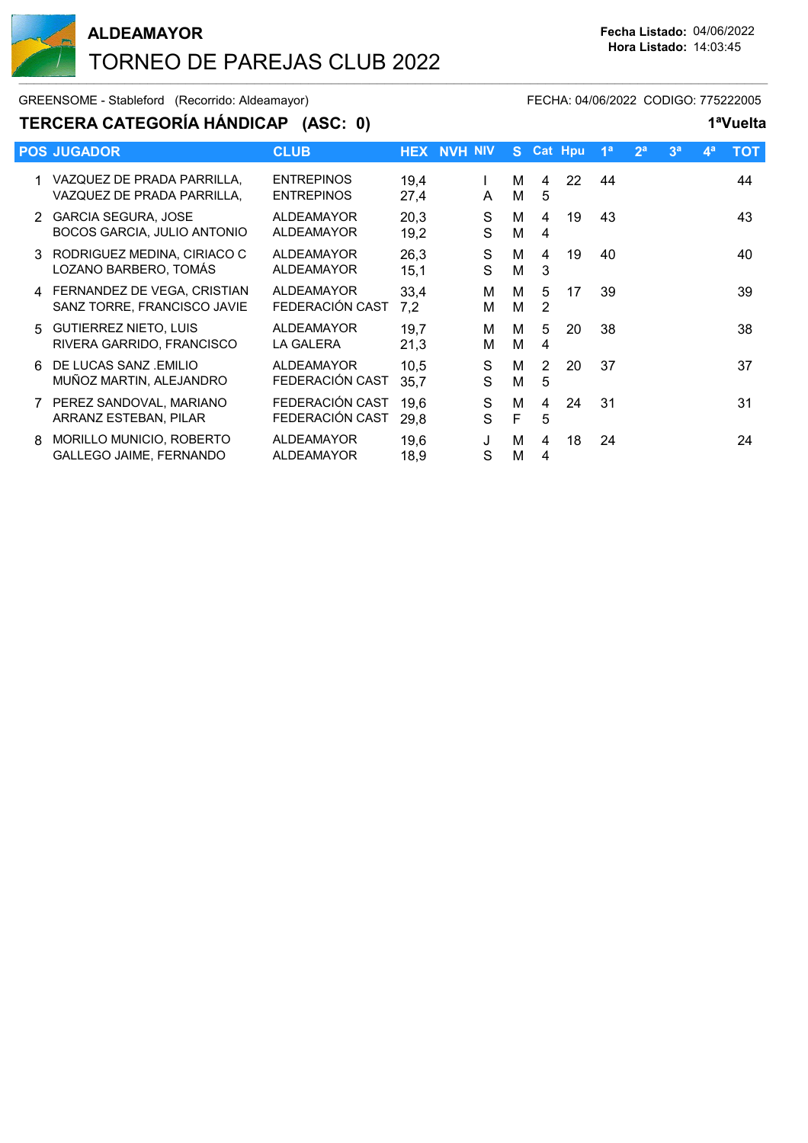

GREENSOME - Stableford (Recorrido: Aldeamayor) FECHA: 04/06/2022 CODIGO: 775222005

## **TERCERA CATEGORÍA HÁNDICAP (ASC: 0) 1ªVuelta**

|       | --------------------                                         |                                        |              |                |        |                     |                |                |                |                |                           |     |
|-------|--------------------------------------------------------------|----------------------------------------|--------------|----------------|--------|---------------------|----------------|----------------|----------------|----------------|---------------------------|-----|
|       | <b>POS JUGADOR</b>                                           | <b>CLUB</b>                            | <b>HEX</b>   | <b>NVH NIV</b> | S.     |                     | <b>Cat Hpu</b> | 1 <sup>a</sup> | 2 <sup>a</sup> | 3 <sup>a</sup> | $\mathbf{4}^{\mathsf{a}}$ | тот |
|       | VAZQUEZ DE PRADA PARRILLA.<br>VAZQUEZ DE PRADA PARRILLA.     | <b>ENTREPINOS</b><br><b>ENTREPINOS</b> | 19,4<br>27,4 | A              | м<br>М | 4<br>5              | 22             | 44             |                |                |                           | 44  |
| 2.    | <b>GARCIA SEGURA, JOSE</b><br>BOCOS GARCIA, JULIO ANTONIO    | <b>ALDEAMAYOR</b><br><b>ALDEAMAYOR</b> | 20,3<br>19,2 | S<br>S         | м<br>M | 4<br>4              | 19             | 43             |                |                |                           | 43  |
| 3     | RODRIGUEZ MEDINA, CIRIACO C<br>LOZANO BARBERO, TOMÁS         | <b>ALDEAMAYOR</b><br><b>ALDEAMAYOR</b> | 26,3<br>15,1 | S<br>S         | м<br>М | 4<br>3              | 19             | 40             |                |                |                           | 40  |
|       | 4 FERNANDEZ DE VEGA, CRISTIAN<br>SANZ TORRE, FRANCISCO JAVIE | <b>ALDEAMAYOR</b><br>FEDERACIÓN CAST   | 33,4<br>7,2  | M<br>м         | м<br>M | 5<br>2              | 17             | 39             |                |                |                           | 39  |
| $5 -$ | <b>GUTIERREZ NIETO, LUIS</b><br>RIVERA GARRIDO, FRANCISCO    | <b>ALDEAMAYOR</b><br><b>LA GALERA</b>  | 19,7<br>21,3 | M<br>м         | м<br>М | 5<br>4              | 20             | 38             |                |                |                           | 38  |
| 6     | DE LUCAS SANZ .EMILIO<br>MUÑOZ MARTIN, ALEJANDRO             | ALDEAMAYOR<br>FEDERACIÓN CAST          | 10,5<br>35,7 | S<br>S         | м<br>М | $\overline{2}$<br>5 | 20             | 37             |                |                |                           | 37  |
|       | PEREZ SANDOVAL, MARIANO<br>ARRANZ ESTEBAN, PILAR             | FEDERACIÓN CAST<br>FEDERACIÓN CAST     | 19,6<br>29,8 | S<br>S         | M<br>F | 4<br>5              | 24             | 31             |                |                |                           | 31  |
| 8     | MORILLO MUNICIO, ROBERTO<br>GALLEGO JAIME, FERNANDO          | <b>ALDEAMAYOR</b><br><b>ALDEAMAYOR</b> | 19,6<br>18,9 | J<br>S         | М<br>М | 4<br>4              | 18             | 24             |                |                |                           | 24  |